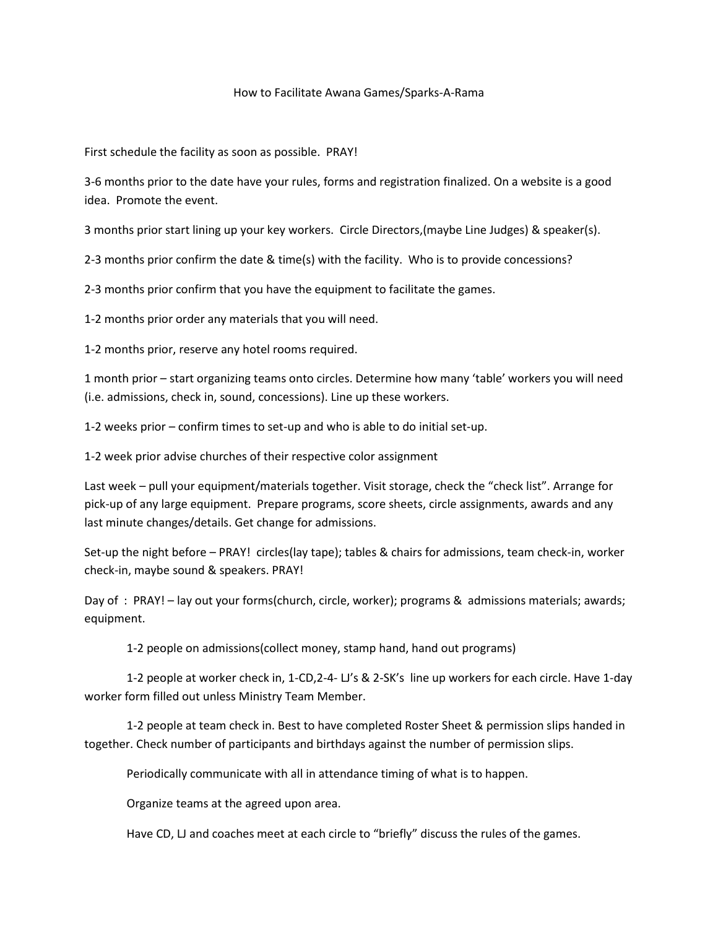## How to Facilitate Awana Games/Sparks-A-Rama

First schedule the facility as soon as possible. PRAY!

3-6 months prior to the date have your rules, forms and registration finalized. On a website is a good idea. Promote the event.

3 months prior start lining up your key workers. Circle Directors,(maybe Line Judges) & speaker(s).

2-3 months prior confirm the date & time(s) with the facility. Who is to provide concessions?

2-3 months prior confirm that you have the equipment to facilitate the games.

1-2 months prior order any materials that you will need.

1-2 months prior, reserve any hotel rooms required.

1 month prior – start organizing teams onto circles. Determine how many 'table' workers you will need (i.e. admissions, check in, sound, concessions). Line up these workers.

1-2 weeks prior – confirm times to set-up and who is able to do initial set-up.

1-2 week prior advise churches of their respective color assignment

Last week – pull your equipment/materials together. Visit storage, check the "check list". Arrange for pick-up of any large equipment. Prepare programs, score sheets, circle assignments, awards and any last minute changes/details. Get change for admissions.

Set-up the night before – PRAY! circles(lay tape); tables & chairs for admissions, team check-in, worker check-in, maybe sound & speakers. PRAY!

Day of : PRAY! – lay out your forms(church, circle, worker); programs & admissions materials; awards; equipment.

1-2 people on admissions(collect money, stamp hand, hand out programs)

1-2 people at worker check in, 1-CD,2-4- LJ's & 2-SK's line up workers for each circle. Have 1-day worker form filled out unless Ministry Team Member.

1-2 people at team check in. Best to have completed Roster Sheet & permission slips handed in together. Check number of participants and birthdays against the number of permission slips.

Periodically communicate with all in attendance timing of what is to happen.

Organize teams at the agreed upon area.

Have CD, LJ and coaches meet at each circle to "briefly" discuss the rules of the games.